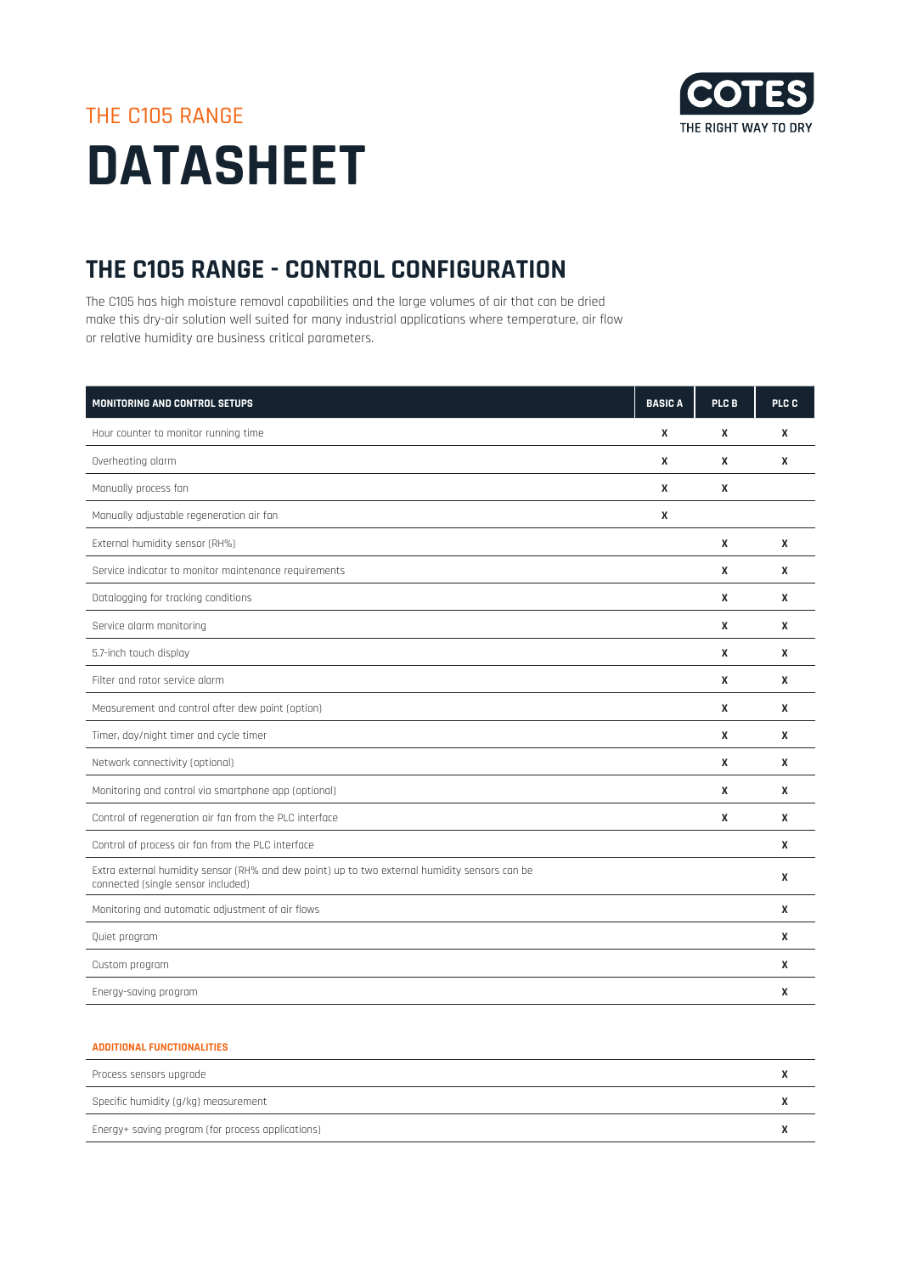

## THE C105 RANGE **DATASHEET**

## **THE C105 RANGE - CONTROL CONFIGURATION**

The C105 has high moisture removal capabilities and the large volumes of air that can be dried make this dry-air solution well suited for many industrial applications where temperature, air flow or relative humidity are business critical parameters.

| <b>MONITORING AND CONTROL SETUPS</b>                                                                                                | <b>BASICA</b> | PLC B | PLC C |
|-------------------------------------------------------------------------------------------------------------------------------------|---------------|-------|-------|
| Hour counter to monitor running time                                                                                                | X             | X     | X     |
| Overheating alarm                                                                                                                   | X             | X     | X     |
| Manually process fan                                                                                                                | X             | X     |       |
| Manually adjustable regeneration air fan                                                                                            | X             |       |       |
| External humidity sensor (RH%)                                                                                                      |               | X     | X     |
| Service indicator to monitor maintenance requirements                                                                               |               | X     | X     |
| Datalogging for tracking conditions                                                                                                 |               | X     | X     |
| Service alarm monitoring                                                                                                            |               | X     | X     |
| 5.7-inch touch display                                                                                                              |               | X     | X     |
| Filter and rotor service alarm                                                                                                      |               | X     | X     |
| Measurement and control after dew point (option)                                                                                    |               | X     | X     |
| Timer, day/night timer and cycle timer                                                                                              |               | X     | X     |
| Network connectivity (optional)                                                                                                     |               | X     | X     |
| Monitoring and control via smartphone app (optional)                                                                                |               | X     | X     |
| Control of regeneration air fan from the PLC interface                                                                              |               | X     | X     |
| Control of process air fan from the PLC interface                                                                                   |               |       | X     |
| Extra external humidity sensor (RH% and dew point) up to two external humidity sensors can be<br>connected (single sensor included) |               |       | X     |
| Monitoring and automatic adjustment of air flows                                                                                    |               |       | X     |
| Quiet program                                                                                                                       |               |       | X     |
| Custom program                                                                                                                      |               |       | X     |
| Energy-saving program                                                                                                               |               |       | X     |

## **ADDITIONAL FUNCTIONALITIES**

| Process sensors upgrade                           |  |
|---------------------------------------------------|--|
| Specific humidity (g/kg) measurement              |  |
| Energy+ saving program (for process applications) |  |